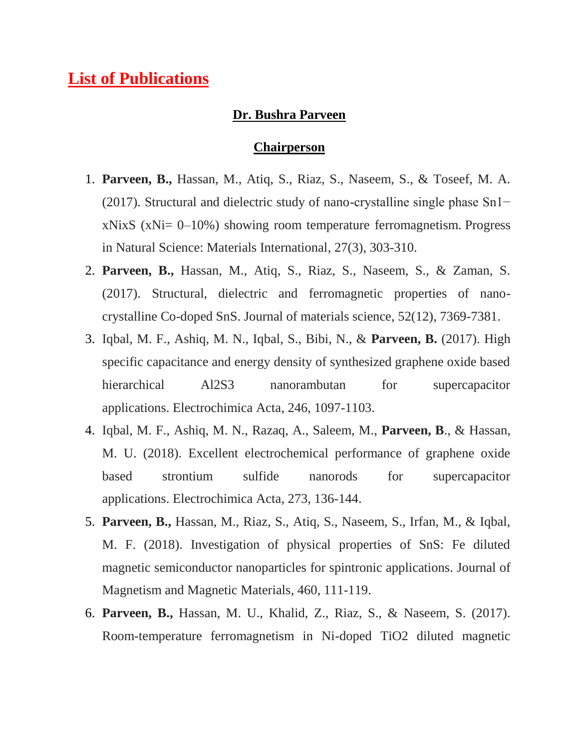## **List of Publications**

#### **Dr. Bushra Parveen**

#### **Chairperson**

- 1. **Parveen, B.,** Hassan, M., Atiq, S., Riaz, S., Naseem, S., & Toseef, M. A. (2017). Structural and dielectric study of nano-crystalline single phase Sn1−  $xNixS$  ( $xNi= 0-10\%$ ) showing room temperature ferromagnetism. Progress in Natural Science: Materials International, 27(3), 303-310.
- 2. **Parveen, B.,** Hassan, M., Atiq, S., Riaz, S., Naseem, S., & Zaman, S. (2017). Structural, dielectric and ferromagnetic properties of nanocrystalline Co-doped SnS. Journal of materials science, 52(12), 7369-7381.
- 3. Iqbal, M. F., Ashiq, M. N., Iqbal, S., Bibi, N., & **Parveen, B.** (2017). High specific capacitance and energy density of synthesized graphene oxide based hierarchical Al2S3 nanorambutan for supercapacitor applications. Electrochimica Acta, 246, 1097-1103.
- 4. Iqbal, M. F., Ashiq, M. N., Razaq, A., Saleem, M., **Parveen, B**., & Hassan, M. U. (2018). Excellent electrochemical performance of graphene oxide based strontium sulfide nanorods for supercapacitor applications. Electrochimica Acta, 273, 136-144.
- 5. **Parveen, B.,** Hassan, M., Riaz, S., Atiq, S., Naseem, S., Irfan, M., & Iqbal, M. F. (2018). Investigation of physical properties of SnS: Fe diluted magnetic semiconductor nanoparticles for spintronic applications. Journal of Magnetism and Magnetic Materials, 460, 111-119.
- 6. **Parveen, B.,** Hassan, M. U., Khalid, Z., Riaz, S., & Naseem, S. (2017). Room-temperature ferromagnetism in Ni-doped TiO2 diluted magnetic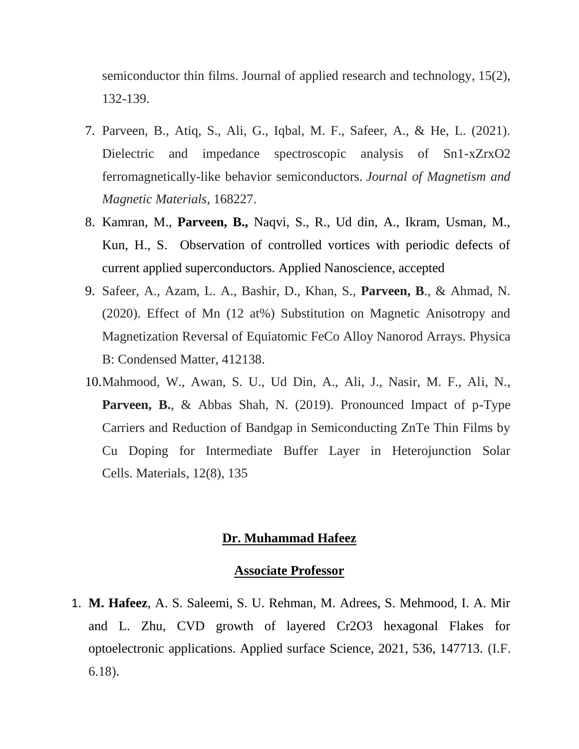semiconductor thin films. Journal of applied research and technology, 15(2), 132-139.

- 7. Parveen, B., Atiq, S., Ali, G., Iqbal, M. F., Safeer, A., & He, L. (2021). Dielectric and impedance spectroscopic analysis of Sn1-xZrxO2 ferromagnetically-like behavior semiconductors. *Journal of Magnetism and Magnetic Materials*, 168227.
- 8. Kamran, M., **Parveen, B.,** Naqvi, S., R., Ud din, A., Ikram, Usman, M., Kun, H., S. Observation of controlled vortices with periodic defects of current applied superconductors. Applied Nanoscience, accepted
- 9. Safeer, A., Azam, L. A., Bashir, D., Khan, S., **Parveen, B**., & Ahmad, N. (2020). Effect of Mn (12 at%) Substitution on Magnetic Anisotropy and Magnetization Reversal of Equiatomic FeCo Alloy Nanorod Arrays. Physica B: Condensed Matter, 412138.
- 10.Mahmood, W., Awan, S. U., Ud Din, A., Ali, J., Nasir, M. F., Ali, N., **Parveen, B.**, & Abbas Shah, N. (2019). Pronounced Impact of p-Type Carriers and Reduction of Bandgap in Semiconducting ZnTe Thin Films by Cu Doping for Intermediate Buffer Layer in Heterojunction Solar Cells. Materials, 12(8), 135

#### **Dr. Muhammad Hafeez**

#### **Associate Professor**

1. **M. Hafeez**, A. S. Saleemi, S. U. Rehman, M. Adrees, S. Mehmood, I. A. Mir and L. Zhu, CVD growth of layered Cr2O3 hexagonal Flakes for optoelectronic applications. Applied surface Science, 2021, 536, 147713. (I.F. 6.18).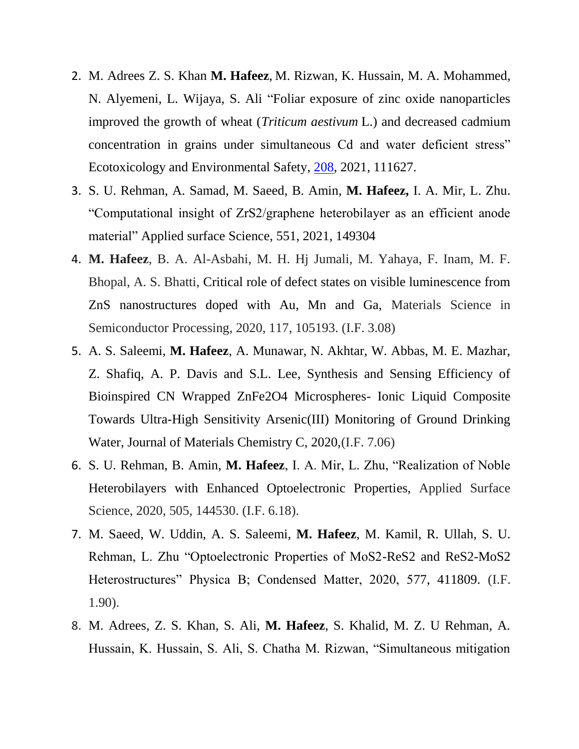- 2. [M. Adrees](https://www.sciencedirect.com/science/article/pii/S0147651320314640#!) [Z. S. Khan](https://www.sciencedirect.com/science/article/pii/S0147651320314640#!) **M. Hafeez**, [M. Rizwan, K. Hussain, M. A. Mohammed,](https://www.sciencedirect.com/science/article/pii/S0147651320314640#!)  [N. Alyemeni, L. Wijaya,](https://www.sciencedirect.com/science/article/pii/S0147651320314640#!) [S. Ali](https://www.sciencedirect.com/science/article/pii/S0147651320314640#!) "Foliar exposure of zinc oxide nanoparticles improved the growth of wheat (*Triticum aestivum* L.) and decreased cadmium concentration in grains under simultaneous Cd and water deficient stress" [Ecotoxicology and Environmental Safety,](https://www.sciencedirect.com/journal/ecotoxicology-and-environmental-safety) [208,](https://www.sciencedirect.com/science/journal/01476513/208/supp/C) 2021, 111627.
- 3. S. U. Rehman, A. Samad, M. Saeed, B. Amin, **M. Hafeez,** I. A. Mir, L. Zhu. "Computational insight of ZrS2/graphene heterobilayer as an efficient anode material" Applied surface Science, 551, 2021, 149304
- 4. **M. Hafeez**, B. A. Al-Asbahi, M. H. Hj Jumali, M. Yahaya, F. Inam, M. F. Bhopal, A. S. Bhatti, Critical role of defect states on visible luminescence from ZnS nanostructures doped with Au, Mn and Ga, Materials Science in Semiconductor Processing, 2020, 117, 105193. (I.F. 3.08)
- 5. A. S. Saleemi, **M. Hafeez**, A. Munawar, N. Akhtar, W. Abbas, M. E. Mazhar, Z. Shafiq, A. P. Davis and S.L. Lee, Synthesis and Sensing Efficiency of Bioinspired CN Wrapped ZnFe2O4 Microspheres- Ionic Liquid Composite Towards Ultra-High Sensitivity Arsenic(III) Monitoring of Ground Drinking Water, Journal of Materials Chemistry C, 2020,(I.F. 7.06)
- 6. S. U. Rehman, B. Amin, **M. Hafeez**, I. A. Mir, L. Zhu, "Realization of Noble Heterobilayers with Enhanced Optoelectronic Properties, Applied Surface Science, 2020, 505, 144530. (I.F. 6.18).
- 7. M. Saeed, W. Uddin, A. S. Saleemi, **M. Hafeez**, M. Kamil, R. Ullah, S. U. Rehman, L. Zhu "Optoelectronic Properties of MoS2-ReS2 and ReS2-MoS2 Heterostructures" Physica B; Condensed Matter, 2020, 577, 411809. (I.F. 1.90).
- 8. M. Adrees, Z. S. Khan, S. Ali, **M. Hafeez**, S. Khalid, M. Z. U Rehman, A. Hussain, K. Hussain, S. Ali, S. Chatha M. Rizwan, "Simultaneous mitigation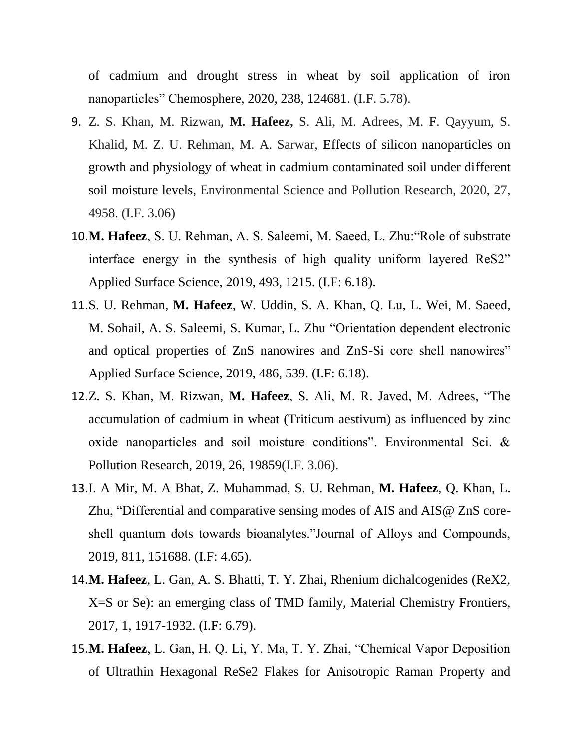of cadmium and drought stress in wheat by soil application of iron nanoparticles" Chemosphere, 2020, 238, 124681. (I.F. 5.78).

- 9. Z. S. Khan, M. Rizwan, **M. Hafeez,** S. Ali, M. Adrees, M. F. Qayyum, S. Khalid, M. Z. U. Rehman, M. A. Sarwar, Effects of silicon nanoparticles on growth and physiology of wheat in cadmium contaminated soil under different soil moisture levels, Environmental Science and Pollution Research, 2020, 27, 4958. (I.F. 3.06)
- 10.**M. Hafeez**, S. U. Rehman, A. S. Saleemi, M. Saeed, L. Zhu:"Role of substrate interface energy in the synthesis of high quality uniform layered ReS2" Applied Surface Science, 2019, 493, 1215. (I.F: 6.18).
- 11.S. U. Rehman, **M. Hafeez**, W. Uddin, S. A. Khan, Q. Lu, L. Wei, M. Saeed, M. Sohail, A. S. Saleemi, S. Kumar, L. Zhu "Orientation dependent electronic and optical properties of ZnS nanowires and ZnS-Si core shell nanowires" Applied Surface Science, 2019, 486, 539. (I.F: 6.18).
- 12.Z. S. Khan, M. Rizwan, **M. Hafeez**, S. Ali, M. R. Javed, M. Adrees, "The accumulation of cadmium in wheat (Triticum aestivum) as influenced by zinc oxide nanoparticles and soil moisture conditions". Environmental Sci. & Pollution Research, 2019, 26, 19859(I.F. 3.06).
- 13.I. A Mir, M. A Bhat, Z. Muhammad, S. U. Rehman, **M. Hafeez**, Q. Khan, L. Zhu, "Differential and comparative sensing modes of AIS and AIS@ ZnS coreshell quantum dots towards bioanalytes."Journal of Alloys and Compounds, 2019, 811, 151688. (I.F: 4.65).
- 14.**M. Hafeez**, L. Gan, A. S. Bhatti, T. Y. Zhai, Rhenium dichalcogenides (ReX2, X=S or Se): an emerging class of TMD family, Material Chemistry Frontiers, 2017, 1, 1917-1932. (I.F: 6.79).
- 15.**M. Hafeez**, L. Gan, H. Q. Li, Y. Ma, T. Y. Zhai, "Chemical Vapor Deposition of Ultrathin Hexagonal ReSe2 Flakes for Anisotropic Raman Property and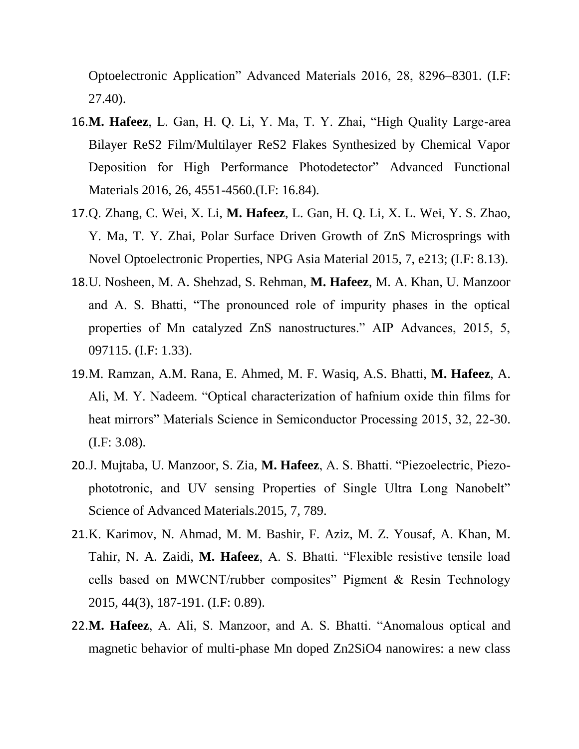Optoelectronic Application" Advanced Materials 2016, 28, 8296–8301. (I.F: 27.40).

- 16.**M. Hafeez**, L. Gan, H. Q. Li, Y. Ma, T. Y. Zhai, "High Quality Large-area Bilayer ReS2 Film/Multilayer ReS2 Flakes Synthesized by Chemical Vapor Deposition for High Performance Photodetector" Advanced Functional Materials 2016, 26, 4551-4560.(I.F: 16.84).
- 17.Q. Zhang, C. Wei, X. Li, **M. Hafeez**, L. Gan, H. Q. Li, X. L. Wei, Y. S. Zhao, Y. Ma, T. Y. Zhai, Polar Surface Driven Growth of ZnS Microsprings with Novel Optoelectronic Properties, NPG Asia Material 2015, 7, e213; (I.F: 8.13).
- 18.U. Nosheen, M. A. Shehzad, S. Rehman, **M. Hafeez**, M. A. Khan, U. Manzoor and A. S. Bhatti, "The pronounced role of impurity phases in the optical properties of Mn catalyzed ZnS nanostructures." AIP Advances, 2015, 5, 097115. (I.F: 1.33).
- 19.M. Ramzan, A.M. Rana, E. Ahmed, M. F. Wasiq, A.S. Bhatti, **M. Hafeez**, A. Ali, M. Y. Nadeem. "Optical characterization of hafnium oxide thin films for heat mirrors" Materials Science in Semiconductor Processing 2015, 32, 22-30. (I.F: 3.08).
- 20.J. Mujtaba, U. Manzoor, S. Zia, **M. Hafeez**, A. S. Bhatti. "Piezoelectric, Piezophototronic, and UV sensing Properties of Single Ultra Long Nanobelt" Science of Advanced Materials.2015, 7, 789.
- 21.K. Karimov, N. Ahmad, M. M. Bashir, F. Aziz, M. Z. Yousaf, A. Khan, M. Tahir, N. A. Zaidi, **M. Hafeez**, A. S. Bhatti. "Flexible resistive tensile load cells based on MWCNT/rubber composites" Pigment & Resin Technology 2015, 44(3), 187-191. (I.F: 0.89).
- 22.**M. Hafeez**, A. Ali, S. Manzoor, and A. S. Bhatti. "Anomalous optical and magnetic behavior of multi-phase Mn doped Zn2SiO4 nanowires: a new class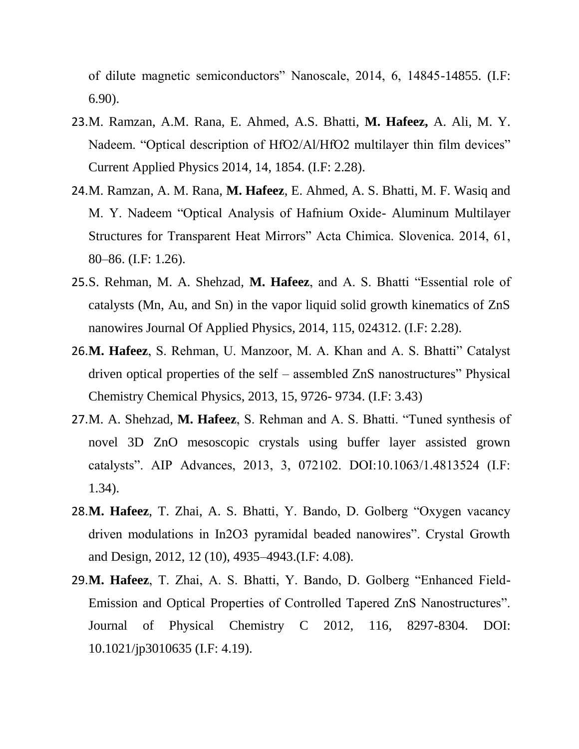of dilute magnetic semiconductors" Nanoscale, 2014, 6, 14845-14855. (I.F: 6.90).

- 23.M. Ramzan, A.M. Rana, E. Ahmed, A.S. Bhatti, **M. Hafeez,** A. Ali, M. Y. Nadeem. "Optical description of HfO2/Al/HfO2 multilayer thin film devices" Current Applied Physics 2014, 14, 1854. (I.F: 2.28).
- 24.M. Ramzan, A. M. Rana, **M. Hafeez**, E. Ahmed, A. S. Bhatti, M. F. Wasiq and M. Y. Nadeem "Optical Analysis of Hafnium Oxide- Aluminum Multilayer Structures for Transparent Heat Mirrors" Acta Chimica. Slovenica. 2014, 61, 80–86. (I.F: 1.26).
- 25.S. Rehman, M. A. Shehzad, **M. Hafeez**, and A. S. Bhatti "Essential role of catalysts (Mn, Au, and Sn) in the vapor liquid solid growth kinematics of ZnS nanowires Journal Of Applied Physics, 2014, 115, 024312. (I.F: 2.28).
- 26.**M. Hafeez**, S. Rehman, U. Manzoor, M. A. Khan and A. S. Bhatti" Catalyst driven optical properties of the self – assembled ZnS nanostructures" Physical Chemistry Chemical Physics, 2013, 15, 9726- 9734. (I.F: 3.43)
- 27.M. A. Shehzad, **M. Hafeez**, S. Rehman and A. S. Bhatti. "Tuned synthesis of novel 3D ZnO mesoscopic crystals using buffer layer assisted grown catalysts". AIP Advances, 2013, 3, 072102. DOI:10.1063/1.4813524 (I.F: 1.34).
- 28.**M. Hafeez**, T. Zhai, A. S. Bhatti, Y. Bando, D. Golberg "Oxygen vacancy driven modulations in In2O3 pyramidal beaded nanowires". Crystal Growth and Design, 2012, 12 (10), 4935–4943.(I.F: 4.08).
- 29.**M. Hafeez**, T. Zhai, A. S. Bhatti, Y. Bando, D. Golberg "Enhanced Field-Emission and Optical Properties of Controlled Tapered ZnS Nanostructures". Journal of Physical Chemistry C 2012, 116, 8297-8304. DOI: 10.1021/jp3010635 (I.F: 4.19).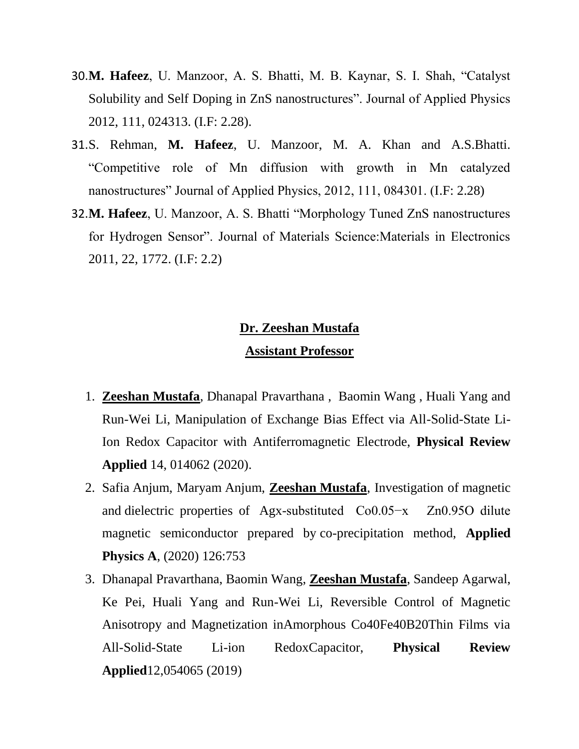- 30.**M. Hafeez**, U. Manzoor, A. S. Bhatti, M. B. Kaynar, S. I. Shah, "Catalyst Solubility and Self Doping in ZnS nanostructures". Journal of Applied Physics 2012, 111, 024313. (I.F: 2.28).
- 31.S. Rehman, **M. Hafeez**, U. Manzoor, M. A. Khan and A.S.Bhatti. "Competitive role of Mn diffusion with growth in Mn catalyzed nanostructures" Journal of Applied Physics, 2012, 111, 084301. (I.F: 2.28)
- 32.**M. Hafeez**, U. Manzoor, A. S. Bhatti "Morphology Tuned ZnS nanostructures for Hydrogen Sensor". Journal of Materials Science:Materials in Electronics 2011, 22, 1772. (I.F: 2.2)

# **Dr. Zeeshan Mustafa Assistant Professor**

- 1. **Zeeshan Mustafa**, Dhanapal Pravarthana , Baomin Wang , Huali Yang and Run-Wei Li, Manipulation of Exchange Bias Effect via All-Solid-State Li-Ion Redox Capacitor with Antiferromagnetic Electrode, **Physical Review Applied** 14, 014062 (2020).
- 2. Safia Anjum, Maryam Anjum, **Zeeshan Mustafa**, Investigation of magnetic and dielectric properties of Agx-substituted Co0.05−x Zn0.95O dilute magnetic semiconductor prepared by co-precipitation method, **Applied Physics A**, (2020) 126:753
- 3. Dhanapal Pravarthana, Baomin Wang, **Zeeshan Mustafa**, Sandeep Agarwal, Ke Pei, Huali Yang and Run-Wei Li, Reversible Control of Magnetic Anisotropy and Magnetization inAmorphous Co40Fe40B20Thin Films via All-Solid-State Li-ion RedoxCapacitor, **Physical Review Applied**12,054065 (2019)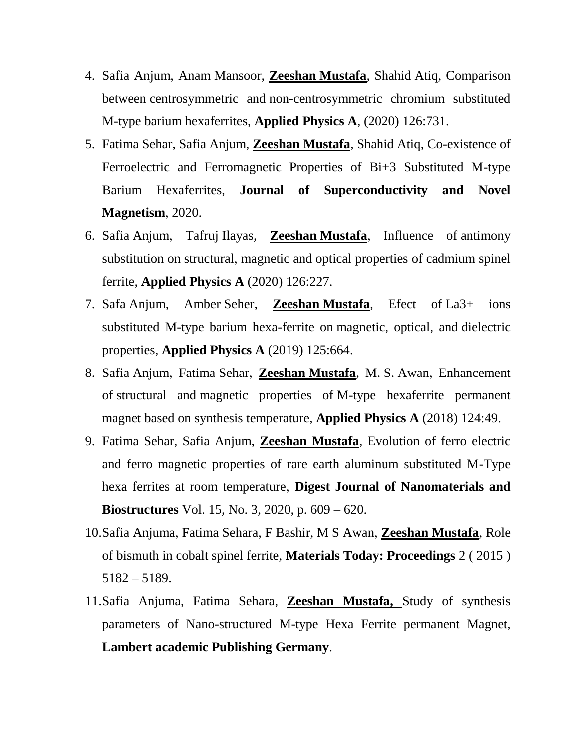- 4. Safia Anjum, Anam Mansoor, **Zeeshan Mustafa**, Shahid Atiq, Comparison between centrosymmetric and non-centrosymmetric chromium substituted M-type barium hexaferrites, **Applied Physics A**, (2020) 126:731.
- 5. Fatima Sehar, Safia Anjum, **Zeeshan Mustafa**, Shahid Atiq, Co-existence of Ferroelectric and Ferromagnetic Properties of Bi+3 Substituted M-type Barium Hexaferrites, **Journal of Superconductivity and Novel Magnetism**, 2020.
- 6. Safia Anjum, Tafruj Ilayas, **Zeeshan Mustafa**, Influence of antimony substitution on structural, magnetic and optical properties of cadmium spinel ferrite, **Applied Physics A** (2020) 126:227.
- 7. Safa Anjum, Amber Seher, **Zeeshan Mustafa**, Efect of La3+ ions substituted M-type barium hexa-ferrite on magnetic, optical, and dielectric properties, **Applied Physics A** (2019) 125:664.
- 8. Safia Anjum, Fatima Sehar, **Zeeshan Mustafa**, M. S. Awan, Enhancement of structural and magnetic properties of M-type hexaferrite permanent magnet based on synthesis temperature, **Applied Physics A** (2018) 124:49.
- 9. Fatima Sehar, Safia Anjum, **Zeeshan Mustafa**, Evolution of ferro electric and ferro magnetic properties of rare earth aluminum substituted M-Type hexa ferrites at room temperature, **Digest Journal of Nanomaterials and Biostructures** Vol. 15, No. 3, 2020, p. 609 – 620.
- 10.Safia Anjuma, Fatima Sehara, F Bashir, M S Awan, **Zeeshan Mustafa**, Role of bismuth in cobalt spinel ferrite, **Materials Today: Proceedings** 2 ( 2015 ) 5182 – 5189.
- 11.Safia Anjuma, Fatima Sehara, **Zeeshan Mustafa,** Study of synthesis parameters of Nano-structured M-type Hexa Ferrite permanent Magnet, **Lambert academic Publishing Germany**.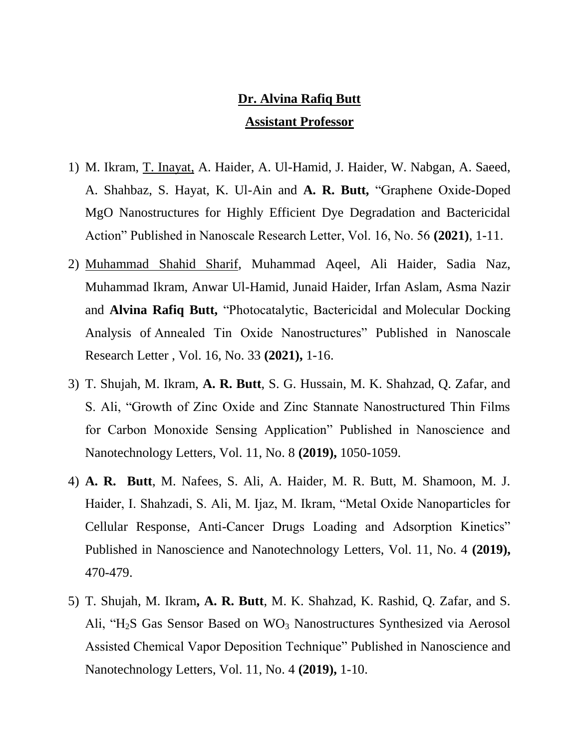# **Dr. Alvina Rafiq Butt Assistant Professor**

- 1) M. Ikram, T. Inayat, A. Haider, A. Ul-Hamid, J. Haider, W. Nabgan, A. Saeed, A. Shahbaz, S. Hayat, K. Ul-Ain and **A. R. Butt,** "Graphene Oxide-Doped MgO Nanostructures for Highly Efficient Dye Degradation and Bactericidal Action" Published in Nanoscale Research Letter, Vol. 16, No. 56 **(2021)**, 1-11.
- 2) Muhammad Shahid Sharif, Muhammad Aqeel, Ali Haider, Sadia Naz, Muhammad Ikram, Anwar Ul-Hamid, Junaid Haider, Irfan Aslam, Asma Nazir and **Alvina Rafiq Butt,** "Photocatalytic, Bactericidal and Molecular Docking Analysis of Annealed Tin Oxide Nanostructures" Published in Nanoscale Research Letter , Vol. 16, No. 33 **(2021),** 1-16.
- 3) T. Shujah, M. Ikram, **A. R. Butt**, S. G. Hussain, M. K. Shahzad, Q. Zafar, and S. Ali, "Growth of Zinc Oxide and Zinc Stannate Nanostructured Thin Films for Carbon Monoxide Sensing Application" Published in Nanoscience and Nanotechnology Letters, Vol. 11, No. 8 **(2019),** 1050-1059.
- 4) **A. R. Butt**, M. Nafees, S. Ali, A. Haider, M. R. Butt, M. Shamoon, M. J. Haider, I. Shahzadi, S. Ali, M. Ijaz, M. Ikram, "Metal Oxide Nanoparticles for Cellular Response, Anti-Cancer Drugs Loading and Adsorption Kinetics" Published in Nanoscience and Nanotechnology Letters, Vol. 11, No. 4 **(2019),** 470-479.
- 5) T. Shujah, M. Ikram**, A. R. Butt**, M. K. Shahzad, K. Rashid, Q. Zafar, and S. Ali, "H<sub>2</sub>S Gas Sensor Based on  $WO_3$  Nanostructures Synthesized via Aerosol Assisted Chemical Vapor Deposition Technique" Published in Nanoscience and Nanotechnology Letters, Vol. 11, No. 4 **(2019),** 1-10.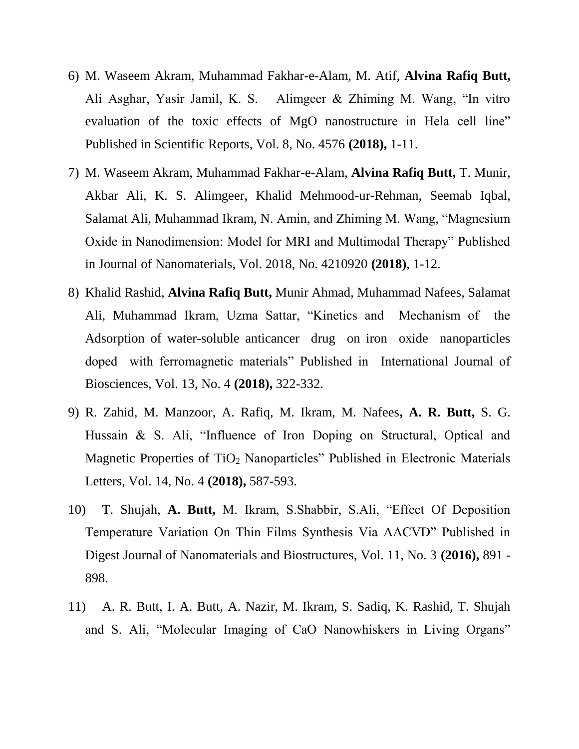- 6) M. Waseem Akram, Muhammad Fakhar-e-Alam, M. Atif, **Alvina Rafiq Butt,**  Ali Asghar, Yasir Jamil, K. S. Alimgeer & Zhiming M. Wang, "In vitro evaluation of the toxic effects of MgO nanostructure in Hela cell line" Published in Scientific Reports, Vol. 8, No. 4576 **(2018),** 1-11.
- 7) M. Waseem Akram, Muhammad Fakhar-e-Alam, **Alvina Rafiq Butt,** T. Munir, Akbar Ali, K. S. Alimgeer, Khalid Mehmood-ur-Rehman, Seemab Iqbal, Salamat Ali, Muhammad Ikram, N. Amin, and Zhiming M. Wang, "Magnesium Oxide in Nanodimension: Model for MRI and Multimodal Therapy" Published in Journal of Nanomaterials, Vol. 2018, No. 4210920 **(2018)**, 1-12.
- 8) Khalid Rashid, **Alvina Rafiq Butt,** Munir Ahmad, Muhammad Nafees, Salamat Ali, Muhammad Ikram, Uzma Sattar, "Kinetics and Mechanism of the Adsorption of water-soluble anticancer drug on iron oxide nanoparticles doped with ferromagnetic materials" Published in International Journal of Biosciences, Vol. 13, No. 4 **(2018),** 322-332.
- 9) R. Zahid, M. Manzoor, A. Rafiq, M. Ikram, M. Nafees**, A. R. Butt,** S. G. Hussain & S. Ali, "Influence of Iron Doping on Structural, Optical and Magnetic Properties of TiO<sub>2</sub> Nanoparticles" Published in Electronic Materials Letters, Vol. 14, No. 4 **(2018),** 587-593.
- 10) T. Shujah, **A. Butt,** M. Ikram, S.Shabbir, S.Ali, "Effect Of Deposition Temperature Variation On Thin Films Synthesis Via AACVD" Published in Digest Journal of Nanomaterials and Biostructures, Vol. 11, No. 3 **(2016),** 891 - 898.
- 11) A. R. Butt, I. A. Butt, A. Nazir, M. Ikram, S. Sadiq, K. Rashid, T. Shujah and S. Ali, "Molecular Imaging of CaO Nanowhiskers in Living Organs"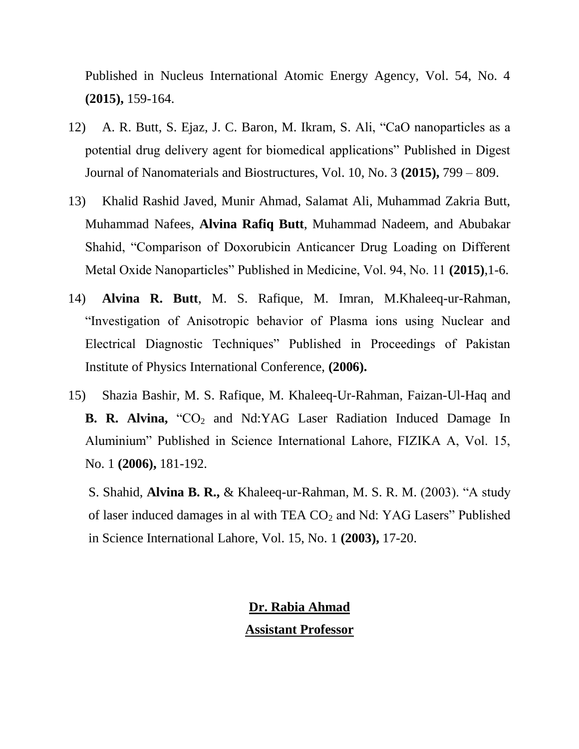Published in Nucleus International Atomic Energy Agency, Vol. 54, No. 4 **(2015),** 159-164.

- 12) A. R. Butt, S. Ejaz, J. C. Baron, M. Ikram, S. Ali, "CaO nanoparticles as a potential drug delivery agent for biomedical applications" Published in Digest Journal of Nanomaterials and Biostructures, Vol. 10, No. 3 **(2015),** 799 – 809.
- 13) Khalid Rashid Javed, Munir Ahmad, Salamat Ali, Muhammad Zakria Butt, Muhammad Nafees, **Alvina Rafiq Butt**, Muhammad Nadeem, and Abubakar Shahid, "Comparison of Doxorubicin Anticancer Drug Loading on Different Metal Oxide Nanoparticles" Published in Medicine, Vol. 94, No. 11 **(2015)**,1-6.
- 14) **Alvina R. Butt**, M. S. Rafique, M. Imran, M.Khaleeq-ur-Rahman, "Investigation of Anisotropic behavior of Plasma ions using Nuclear and Electrical Diagnostic Techniques" Published in Proceedings of Pakistan Institute of Physics International Conference, **(2006).**
- 15) Shazia Bashir, M. S. Rafique, M. Khaleeq-Ur-Rahman, Faizan-Ul-Haq and **B. R. Alvina,** "CO<sub>2</sub> and Nd:YAG Laser Radiation Induced Damage In Aluminium" Published in Science International Lahore, FIZIKA A, Vol. 15, No. 1 **(2006),** 181-192.

S. Shahid, **Alvina B. R.,** & Khaleeq-ur-Rahman, M. S. R. M. (2003). "A study of laser induced damages in al with TEA CO<sub>2</sub> and Nd: YAG Lasers" Published in Science International Lahore, Vol. 15, No. 1 **(2003),** 17-20.

# **Dr. Rabia Ahmad Assistant Professor**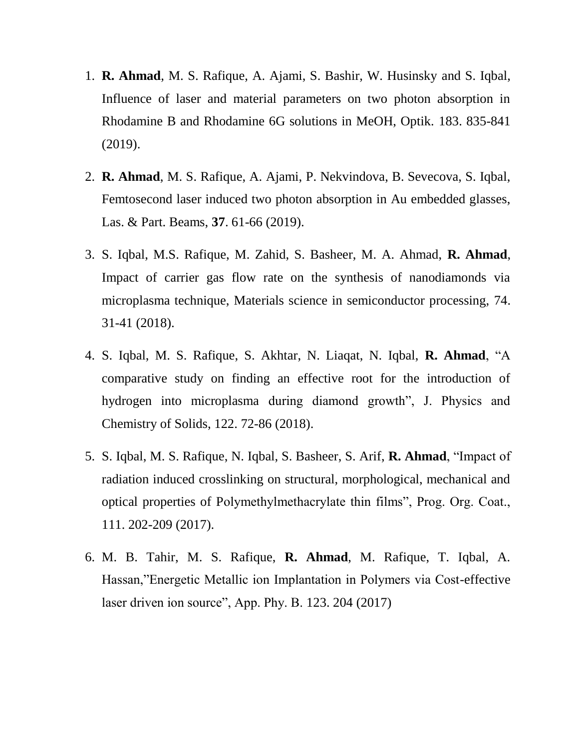- 1. **R. Ahmad**, M. S. Rafique, A. Ajami, S. Bashir, W. Husinsky and S. Iqbal, Influence of laser and material parameters on two photon absorption in Rhodamine B and Rhodamine 6G solutions in MeOH, Optik. 183. 835-841 (2019).
- 2. **R. Ahmad**, M. S. Rafique, A. Ajami, P. Nekvindova, B. Sevecova, S. Iqbal, Femtosecond laser induced two photon absorption in Au embedded glasses, Las. & Part. Beams, **37**. 61-66 (2019).
- 3. S. Iqbal, M.S. Rafique, M. Zahid, S. Basheer, M. A. Ahmad, **R. Ahmad**, Impact of carrier gas flow rate on the synthesis of nanodiamonds via microplasma technique, Materials science in semiconductor processing, 74. 31-41 (2018).
- 4. S. Iqbal, M. S. Rafique, S. Akhtar, N. Liaqat, N. Iqbal, **R. Ahmad**, "A comparative study on finding an effective root for the introduction of hydrogen into microplasma during diamond growth", J. Physics and Chemistry of Solids, 122. 72-86 (2018).
- 5. S. Iqbal, M. S. Rafique, N. Iqbal, S. Basheer, S. Arif, **R. Ahmad**, "Impact of radiation induced crosslinking on structural, morphological, mechanical and optical properties of Polymethylmethacrylate thin films", Prog. Org. Coat., 111. 202-209 (2017).
- 6. M. B. Tahir, M. S. Rafique, **R. Ahmad**, M. Rafique, T. Iqbal, A. Hassan,"Energetic Metallic ion Implantation in Polymers via Cost-effective laser driven ion source", App. Phy. B. 123. 204 (2017)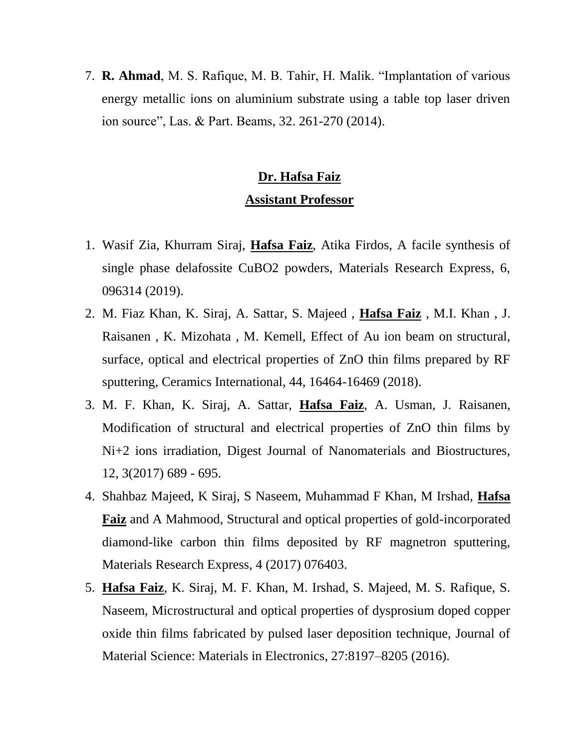7. **R. Ahmad**, M. S. Rafique, M. B. Tahir, H. Malik. "Implantation of various energy metallic ions on aluminium substrate using a table top laser driven ion source", Las. & Part. Beams, 32. 261-270 (2014).

# **Dr. Hafsa Faiz**

### **Assistant Professor**

- 1. Wasif Zia, Khurram Siraj, **Hafsa Faiz**, Atika Firdos, A facile synthesis of single phase delafossite CuBO2 powders, Materials Research Express, 6, 096314 (2019).
- 2. M. Fiaz Khan, K. Siraj, A. Sattar, S. Majeed , **Hafsa Faiz** , M.I. Khan , J. Raisanen , K. Mizohata , M. Kemell, Effect of Au ion beam on structural, surface, optical and electrical properties of ZnO thin films prepared by RF sputtering, Ceramics International, 44, 16464-16469 (2018).
- 3. M. F. Khan, K. Siraj, A. Sattar, **Hafsa Faiz**, A. Usman, J. Raisanen, Modification of structural and electrical properties of ZnO thin films by Ni+2 ions irradiation, Digest Journal of Nanomaterials and Biostructures, 12, 3(2017) 689 - 695.
- 4. Shahbaz Majeed, K Siraj, S Naseem, Muhammad F Khan, M Irshad, **Hafsa Faiz** and A Mahmood, Structural and optical properties of gold-incorporated diamond-like carbon thin films deposited by RF magnetron sputtering, Materials Research Express, 4 (2017) 076403.
- 5. **Hafsa Faiz**, K. Siraj, M. F. Khan, M. Irshad, S. Majeed, M. S. Rafique, S. Naseem, Microstructural and optical properties of dysprosium doped copper oxide thin films fabricated by pulsed laser deposition technique, Journal of Material Science: Materials in Electronics, 27:8197–8205 (2016).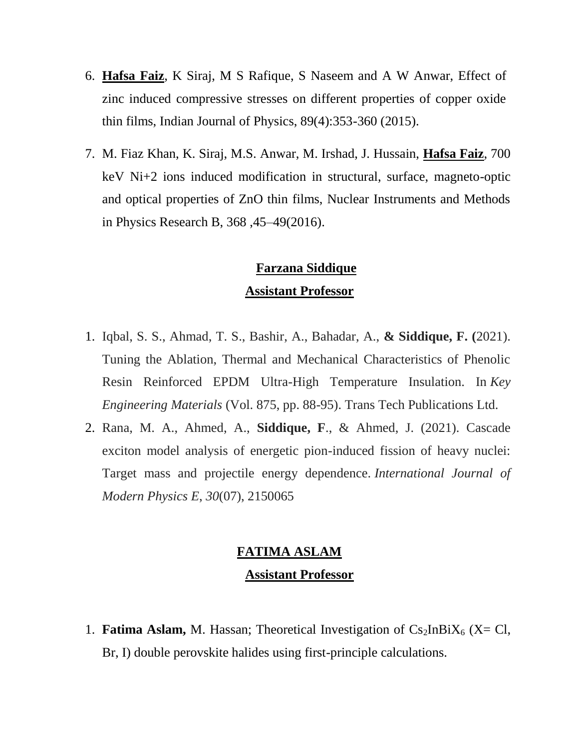- 6. **Hafsa Faiz**, K Siraj, M S Rafique, S Naseem and A W Anwar, Effect of zinc induced compressive stresses on different properties of copper oxide thin films, Indian Journal of Physics, 89(4):353-360 (2015).
- 7. M. Fiaz Khan, K. Siraj, M.S. Anwar, M. Irshad, J. Hussain, **Hafsa Faiz**, 700 keV Ni+2 ions induced modification in structural, surface, magneto-optic and optical properties of ZnO thin films, Nuclear Instruments and Methods in Physics Research B, 368 ,45–49(2016).

## **Farzana Siddique Assistant Professor**

- 1. Iqbal, S. S., Ahmad, T. S., Bashir, A., Bahadar, A., **& Siddique, F. (**2021). Tuning the Ablation, Thermal and Mechanical Characteristics of Phenolic Resin Reinforced EPDM Ultra-High Temperature Insulation. In *Key Engineering Materials* (Vol. 875, pp. 88-95). Trans Tech Publications Ltd.
- 2. Rana, M. A., Ahmed, A., **Siddique, F**., & Ahmed, J. (2021). Cascade exciton model analysis of energetic pion-induced fission of heavy nuclei: Target mass and projectile energy dependence. *International Journal of Modern Physics E*, *30*(07), 2150065

# **FATIMA ASLAM Assistant Professor**

1. **Fatima Aslam,** M. Hassan; Theoretical Investigation of  $Cs_2InBiX_6$  (X= Cl, Br, I) double perovskite halides using first-principle calculations.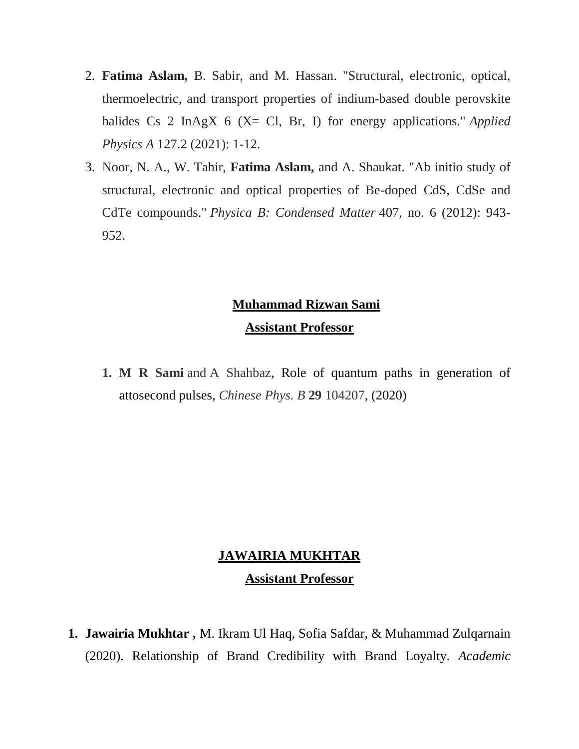- 2. **Fatima Aslam,** B. Sabir, and M. Hassan. "Structural, electronic, optical, thermoelectric, and transport properties of indium-based double perovskite halides Cs 2 InAgX 6 (X= Cl, Br, I) for energy applications." *Applied Physics A* 127.2 (2021): 1-12.
- 3. Noor, N. A., W. Tahir, **Fatima Aslam,** and A. Shaukat. "Ab initio study of structural, electronic and optical properties of Be-doped CdS, CdSe and CdTe compounds." *Physica B: Condensed Matter* 407, no. 6 (2012): 943- 952.

# **Muhammad Rizwan Sami**

### **Assistant Professor**

**1. M R Sami** and A Shahbaz, Role of quantum paths in generation of attosecond pulses, *Chinese Phys. B* **29** 104207, (2020)

### **JAWAIRIA MUKHTAR**

### **Assistant Professor**

**1. Jawairia Mukhtar ,** M. Ikram Ul Haq, Sofia Safdar, & Muhammad Zulqarnain (2020). Relationship of Brand Credibility with Brand Loyalty. *Academic*